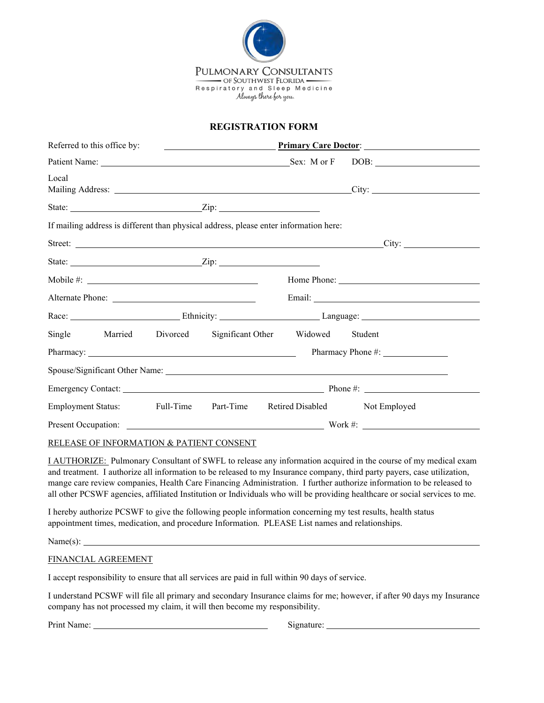

## **REGISTRATION FORM**

| Referred to this office by:                                                                                                                                                                                                          | <u>Primary Care Doctor:</u>                                                                                                                                                                                                          |
|--------------------------------------------------------------------------------------------------------------------------------------------------------------------------------------------------------------------------------------|--------------------------------------------------------------------------------------------------------------------------------------------------------------------------------------------------------------------------------------|
|                                                                                                                                                                                                                                      |                                                                                                                                                                                                                                      |
| Local                                                                                                                                                                                                                                |                                                                                                                                                                                                                                      |
|                                                                                                                                                                                                                                      |                                                                                                                                                                                                                                      |
| If mailing address is different than physical address, please enter information here:                                                                                                                                                |                                                                                                                                                                                                                                      |
|                                                                                                                                                                                                                                      | Street: <u>City:</u> City:                                                                                                                                                                                                           |
|                                                                                                                                                                                                                                      |                                                                                                                                                                                                                                      |
| Mobile $\#$ :                                                                                                                                                                                                                        | Home Phone:                                                                                                                                                                                                                          |
|                                                                                                                                                                                                                                      | Email: <u>Alexander and Alexander and Alexander and Alexander and Alexander and Alexander and Alexander and Alexander and Alexander and Alexander and Alexander and Alexander and Alexander and Alexander and Alexander and Alex</u> |
|                                                                                                                                                                                                                                      | Race: Language: Language: Language: Language: Language: Language: Language: Language: Language: Language: Language: Language: Language: Language: Language: Language: Language: Language: Language: Language: Language: Langua       |
| Single Married Divorced Significant Other Widowed Student                                                                                                                                                                            |                                                                                                                                                                                                                                      |
| Pharmacy: <u>contract the contract of the contract of the contract of the contract of the contract of the contract of the contract of the contract of the contract of the contract of the contract of the contract of the contra</u> |                                                                                                                                                                                                                                      |
|                                                                                                                                                                                                                                      |                                                                                                                                                                                                                                      |
|                                                                                                                                                                                                                                      |                                                                                                                                                                                                                                      |
| Employment Status: Full-Time Part-Time                                                                                                                                                                                               | Retired Disabled Not Employed                                                                                                                                                                                                        |
|                                                                                                                                                                                                                                      |                                                                                                                                                                                                                                      |

## RELEASE OF INFORMATION & PATIENT CONSENT

I AUTHORIZE: Pulmonary Consultant of SWFL to release any information acquired in the course of my medical exam and treatment. I authorize all information to be released to my Insurance company, third party payers, case utilization, mange care review companies, Health Care Financing Administration. I further authorize information to be released to all other PCSWF agencies, affiliated Institution or Individuals who will be providing healthcare or social services to me.

I hereby authorize PCSWF to give the following people information concerning my test results, health status appointment times, medication, and procedure Information. PLEASE List names and relationships.

Name(s):

## FINANCIAL AGREEMENT

I accept responsibility to ensure that all services are paid in full within 90 days of service.

I understand PCSWF will file all primary and secondary Insurance claims for me; however, if after 90 days my Insurance company has not processed my claim, it will then become my responsibility.

Print Name: Signature: Signature: Signature: Signature: Signature: Signature: Signature: Signature: Signature: Signature: Signature: Signature: Signature: Signature: Signature: Signature: Signature: Signature: Signature: S